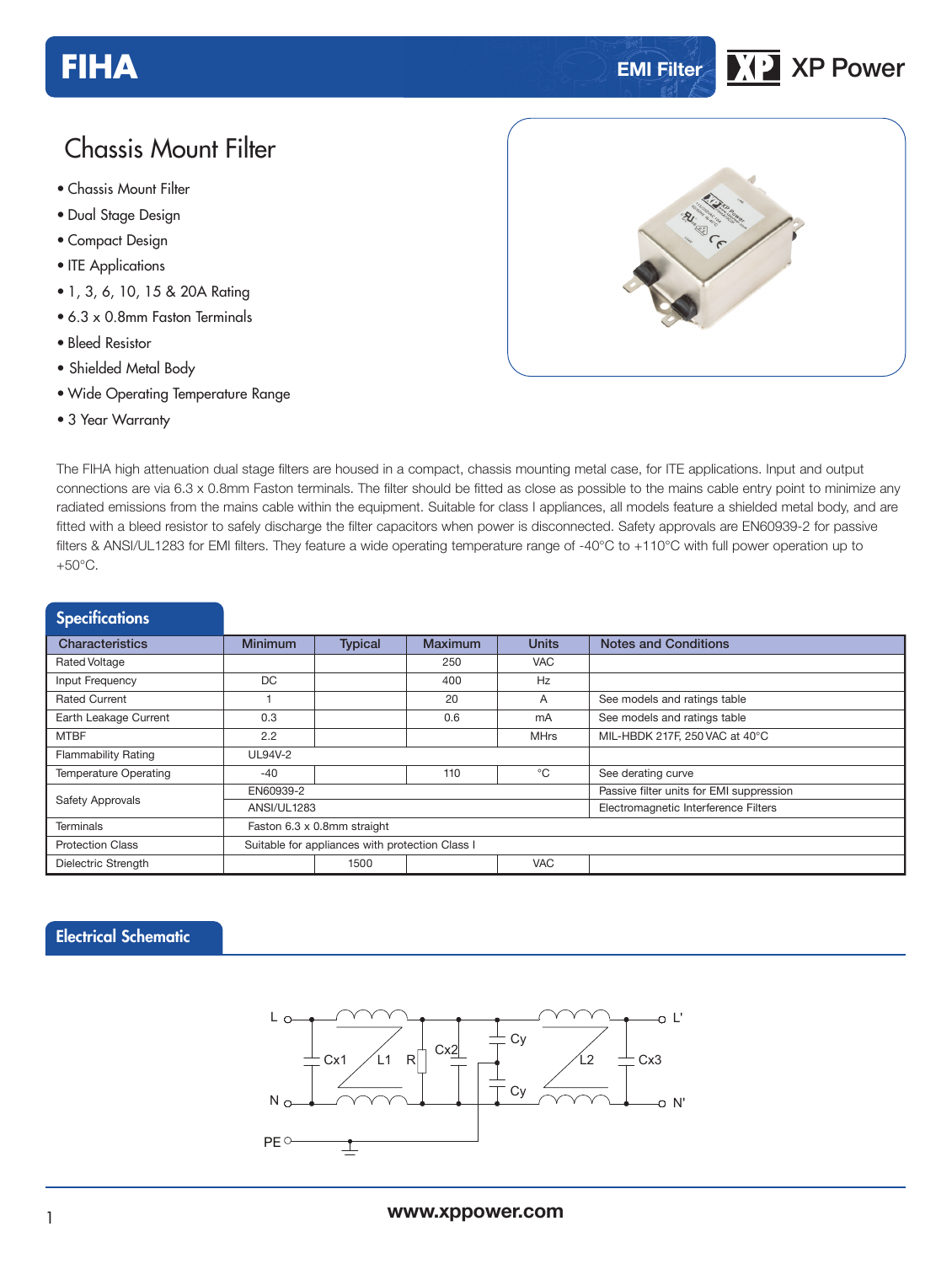# **FIHA EMI Filter XP Power**

# Chassis Mount Filter

- **xxx Series** Chassis Mount Filter
- Dual Stage Design
- Compact Design
- ITE Applications
- 1, 3, 6, 10, 15 & 20A Rating
- 6.3 x 0.8mm Faston Terminals
- Bleed Resistor
- Shielded Metal Body
- Wide Operating Temperature Range
- 3 Year Warranty



The FIHA high attenuation dual stage filters are housed in a compact, chassis mounting metal case, for ITE applications. Input and output connections are via 6.3 x 0.8mm Faston terminals. The filter should be fitted as close as possible to the mains cable entry point to minimize any radiated emissions from the mains cable within the equipment. Suitable for class I appliances, all models feature a shielded metal body, and are fitted with a bleed resistor to safely discharge the filter capacitors when power is disconnected. Safety approvals are EN60939-2 for passive filters & ANSI/UL1283 for EMI filters. They feature a wide operating temperature range of -40°C to +110°C with full power operation up to +50°C.

| <b>Specifications</b>        |                                                 |                    |                |                                          |                                |  |  |
|------------------------------|-------------------------------------------------|--------------------|----------------|------------------------------------------|--------------------------------|--|--|
| <b>Characteristics</b>       | <b>Minimum</b>                                  | <b>Typical</b>     | <b>Maximum</b> | <b>Units</b>                             | <b>Notes and Conditions</b>    |  |  |
| <b>Rated Voltage</b>         |                                                 |                    | 250            | <b>VAC</b>                               |                                |  |  |
| Input Frequency              | DC.                                             |                    | 400            | <b>Hz</b>                                |                                |  |  |
| Rated Current                | 20<br>A                                         |                    |                | See models and ratings table             |                                |  |  |
| Earth Leakage Current        | 0.3                                             |                    | 0.6            | mA                                       | See models and ratings table   |  |  |
| <b>MTBF</b>                  | 2.2                                             |                    |                | <b>MHrs</b>                              | MIL-HBDK 217F, 250 VAC at 40°C |  |  |
| <b>Flammability Rating</b>   | UL94V-2                                         |                    |                |                                          |                                |  |  |
| <b>Temperature Operating</b> | $-40$                                           |                    | 110            | °C                                       | See derating curve             |  |  |
| Safety Approvals             | EN60939-2                                       |                    |                | Passive filter units for EMI suppression |                                |  |  |
|                              | ANSI/UL1283                                     |                    |                | Electromagnetic Interference Filters     |                                |  |  |
| Terminals                    | Faston 6.3 x 0.8mm straight                     |                    |                |                                          |                                |  |  |
| <b>Protection Class</b>      | Suitable for appliances with protection Class I |                    |                |                                          |                                |  |  |
| Dielectric Strength          |                                                 | <b>VAC</b><br>1500 |                |                                          |                                |  |  |

#### Electrical Schematic

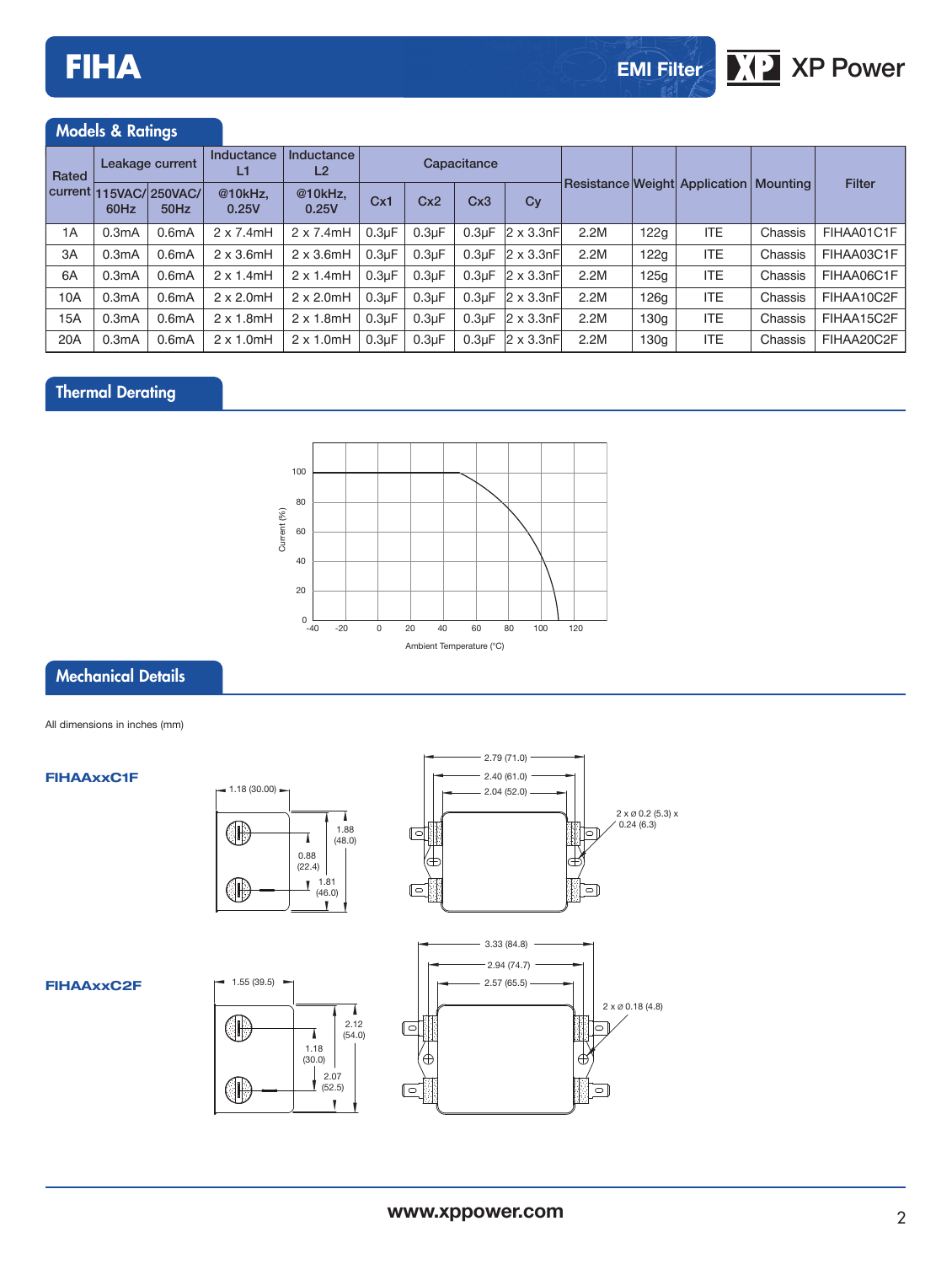# Models & Ratings

| Rated | Leakage current |                                | Inductance<br>L1  | Inductance<br>L <sub>2</sub> | Capacitance        |                    |                    |                     |                                          |      |            |         |               |
|-------|-----------------|--------------------------------|-------------------|------------------------------|--------------------|--------------------|--------------------|---------------------|------------------------------------------|------|------------|---------|---------------|
|       | 60Hz            | current 115VAC/250VAC/<br>50Hz | @10kHz,<br>0.25V  | @10kHz,<br>0.25V             | Cx1                | Cx2                | Cx3                | Cy                  | Resistance Weight Application   Mounting |      |            |         | <b>Filter</b> |
| 1A    | 0.3mA           | 0.6 <sub>m</sub> A             | $2 \times 7.4$ mH | $2 \times 7.4$ mH            | 0.3 <sub>µ</sub> F | 0.3 <sub>µ</sub> F | 0.3 <sub>U</sub> F | $ 2 \times 3.3$ nFl | 2.2M                                     | 122g | <b>ITE</b> | Chassis | FIHAA01C1F    |
| 3A    | 0.3mA           | 0.6 <sub>m</sub> A             | $2 \times 3.6$ mH | $2 \times 3.6$ mH            | 0.3 <sub>µ</sub> F | 0.3 <sub>µ</sub> F | 0.3 <sub>U</sub> F | $ 2 \times 3.3nF $  | 2.2M                                     | 122g | <b>ITE</b> | Chassis | FIHAA03C1F    |
| 6A    | 0.3mA           | 0.6 <sub>m</sub> A             | $2 \times 1.4$ mH | $2 \times 1.4$ mH            | 0.3 <sub>µ</sub> F | 0.3 <sub>µ</sub> F | 0.3 <sub>U</sub> F | $2 \times 3.3nFl$   | 2.2M                                     | 125q | <b>ITE</b> | Chassis | FIHAA06C1F    |
| 10A   | 0.3mA           | 0.6 <sub>m</sub> A             | $2 \times 2.0$ mH | $2 \times 2.0$ mH            | 0.3 <sub>µ</sub> F | 0.3 <sub>µ</sub> F | 0.3 <sub>U</sub> F | $ 2 \times 3.3$ nFl | 2.2M                                     | 126g | <b>ITE</b> | Chassis | FIHAA10C2F    |
| 15A   | 0.3mA           | 0.6 <sub>m</sub> A             | $2 \times 1.8$ mH | $2 \times 1.8$ mH            | 0.3 <sub>µ</sub> F | 0.3 <sub>µ</sub> F | 0.3 <sub>U</sub> F | $2 \times 3.3nF$    | 2.2M                                     | 130q | <b>ITE</b> | Chassis | FIHAA15C2F    |
| 20A   | 0.3mA           | 0.6 <sub>m</sub> A             | $2 \times 1.0$ mH | $2 \times 1.0$ mH            | 0.3 <sub>µ</sub> F | 0.3 <sub>µ</sub> F | 0.3 <sub>µ</sub> F | $ 2 \times 3.3nF $  | 2.2M                                     | 130q | <b>ITE</b> | Chassis | FIHAA20C2F    |

## Thermal Derating



## Mechanical Details

All dimensions in inches (mm)

#### **FIHAAxxC1F**





#### **FIHAAxxC2F**